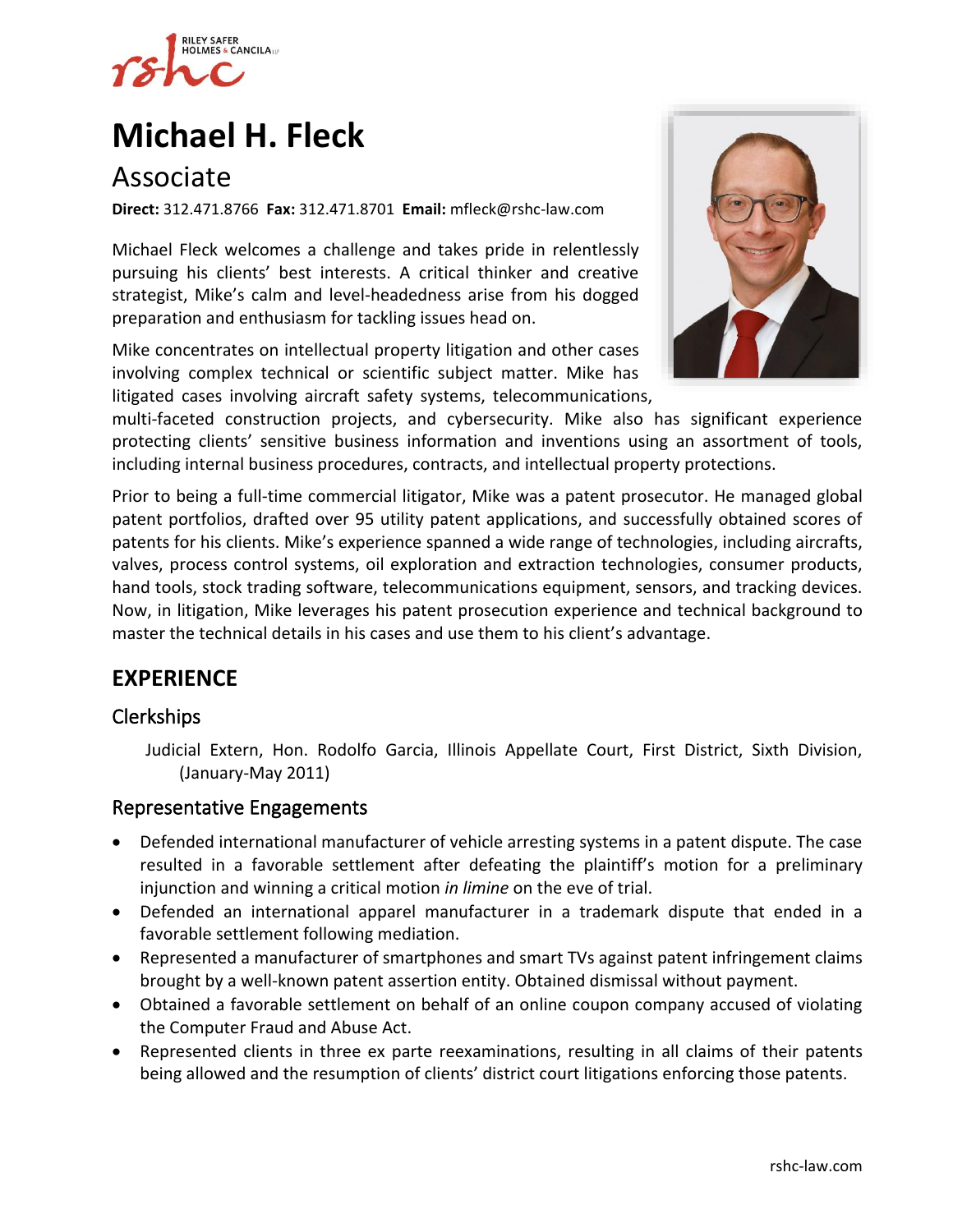

# **[Michael](https://www.rshc-law.com/attorneys/attorney/michael-h.-fleck) H. Fleck**

# Associate

**Direct:** 312.471.8766 **Fax:** 312.471.8701 **Email:** mfleck@rshc-law.com

Michael Fleck welcomes a challenge and takes pride in relentlessly pursuing his clients' best interests. A critical thinker and creative strategist, Mike's calm and level-headedness arise from his dogged preparation and enthusiasm for tackling issues head on.

Mike concentrates on intellectual property litigation and other cases involving complex technical or scientific subject matter. Mike has litigated cases involving aircraft safety systems, telecommunications[,](https://www.rshc-law.com/attorneys/attorney/michael-h.-fleck) 



multi-faceted construction projects, and cybersecurity. Mike also has significant experience protecting clients' sensitive business information and inventions using an assortment of tools, including internal business procedures, contracts, and intellectual property protections.

Prior to being a full-time commercial litigator, Mike was a patent prosecutor. He managed global patent portfolios, drafted over 95 utility patent applications, and successfully obtained scores of patents for his clients. Mike's experience spanned a wide range of technologies, including aircrafts, valves, process control systems, oil exploration and extraction technologies, consumer products, hand tools, stock trading software, telecommunications equipment, sensors, and tracking devices. Now, in litigation, Mike leverages his patent prosecution experience and technical background to master the technical details in his cases and use them to his client's advantage.

### **EXPERIENCE**

#### Clerkships

Judicial Extern, Hon. Rodolfo Garcia, Illinois Appellate Court, First District, Sixth Division, (January-May 2011)

#### Representative Engagements

- Defended international manufacturer of vehicle arresting systems in a patent dispute. The case resulted in a favorable settlement after defeating the plaintiff's motion for a preliminary injunction and winning a critical motion *in limine* on the eve of trial.
- Defended an international apparel manufacturer in a trademark dispute that ended in a favorable settlement following mediation.
- Represented a manufacturer of smartphones and smart TVs against patent infringement claims brought by a well-known patent assertion entity. Obtained dismissal without payment.
- Obtained a favorable settlement on behalf of an online coupon company accused of violating the Computer Fraud and Abuse Act.
- Represented clients in three ex parte reexaminations, resulting in all claims of their patents being allowed and the resumption of clients' district court litigations enforcing those patents.